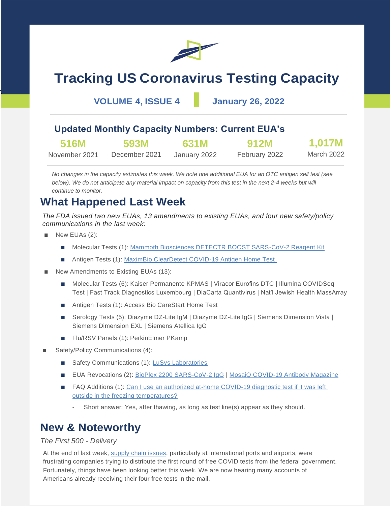

# **Tracking US Coronavirus Testing Capacity**

**VOLUME 4, ISSUE 4 January 26, 2022**

### **Updated Monthly Capacity Numbers: Current EUA's**

| 516M          | <b>593M</b>   | 631M         | <b>912M</b>   | 1,017M     |
|---------------|---------------|--------------|---------------|------------|
| November 2021 | December 2021 | January 2022 | February 2022 | March 2022 |

*No changes in the capacity estimates this week. We note one additional EUA for an OTC antigen self test (see below). We do not anticipate any material impact on capacity from this test in the next 2-4 weeks but will continue to monitor.*

## **What Happened Last Week**

*The FDA issued two new EUAs, 13 amendments to existing EUAs, and four new safety/policy communications in the last week:*

New EUAs (2):

 $\overline{\phantom{a}}$ 

- Molecular Tests (1): [Mammoth Biosciences DETECTR BOOST SARS-CoV-2 Reagent Kit](https://www.fda.gov/media/155637/download)
- Antigen Tests (1): [MaximBio ClearDetect COVID-19 Antigen Home Test](https://www.fda.gov/media/155632/download)
- New Amendments to Existing EUAs (13):
	- Molecular Tests (6): Kaiser Permanente KPMAS | Viracor Eurofins DTC | Illumina COVIDSeq Test | Fast Track Diagnostics Luxembourg | DiaCarta Quantivirus | Nat'l Jewish Health MassArray
	- Antigen Tests (1): Access Bio CareStart Home Test
	- Serology Tests (5): Diazyme DZ-Lite IgM | Diazyme DZ-Lite IgG | Siemens Dimension Vista | Siemens Dimension EXL | Siemens Atellica IgG
	- Flu/RSV Panels (1): PerkinElmer PKamp
- Safety/Policy Communications (4):
	- Safety Communications (1): [LuSys Laboratories](https://www.fda.gov/medical-devices/safety-communications/stop-using-lusys-laboratories-covid-19-tests-fda-safety-communication)
	- EUA Revocations (2): [BioPlex 2200 SARS-CoV-2 IgG](https://www.fda.gov/media/155494/download) | [MosaiQ COVID-19 Antibody Magazine](https://www.fda.gov/media/155493/download)
	- FAQ Additions (1): Can I use an authorized at-home COVID-19 diagnostic test if it was left [outside in the freezing temperatures?](https://www.fda.gov/medical-devices/coronavirus-covid-19-and-medical-devices/home-covid-19-diagnostic-tests-frequently-asked-questions)
		- Short answer: Yes, after thawing, as long as test line(s) appear as they should.

## **New & Noteworthy**

### *The First 500 - Delivery*

At the end of last week, [supply chain issues,](https://abcnews.go.com/US/worker-shortages-flight-delays-contributing-slow-delivery-rapid/story?id=82402734) particularly at international ports and airports, were frustrating companies trying to distribute the first round of free COVID tests from the federal government. Fortunately, things have been looking better this week. We are now hearing many accounts of Americans already receiving their four free tests in the mail.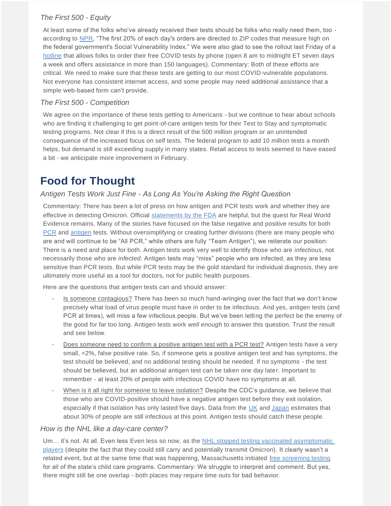### *The First 500 - Equity*

At least some of the folks who've already received their tests should be folks who really need them, too according to [NPR,](https://www.npr.org/2022/01/21/1074815001/free-covid-test-kits-phone-number) "The first 20% of each day's orders are directed to ZIP codes that measure high on the federal government's Social Vulnerability Index." We were also glad to see the rollout last Friday of a [hotline](https://thehill.com/homenews/administration/590765-white-house-launches-call-line-for-free-covid-19-test-orders) that allows folks to order their free COVID tests by phone (open 8 am to midnight ET seven days a week and offers assistance in more than 150 languages). Commentary: Both of these efforts are critical. We need to make sure that these tests are getting to our most COVID-vulnerable populations. Not everyone has consistent internet access, and some people may need additional assistance that a simple web-based form can't provide.

### *The First 500 - Competition*

We agree on the importance of these tests getting to Americans - but we continue to hear about schools who are finding it challenging to get point-of-care antigen tests for their Test to Stay and symptomatic testing programs. Not clear if this is a direct result of the 500 million program or an unintended consequence of the increased focus on self tests. The federal program to add 10 million tests a month helps, but demand is still exceeding supply in many states. Retail access to tests seemed to have eased a bit - we anticipate more improvement in February.

## **Food for Thought**

### *Antigen Tests Work Just Fine - As Long As You're Asking the Right Question*

Commentary: There has been a lot of press on how antigen and PCR tests work and whether they are effective in detecting Omicron. Official [statements by the FDA](https://www.fda.gov/medical-devices/coronavirus-covid-19-and-medical-devices/sars-cov-2-viral-mutations-impact-covid-19-tests) are helpful, but the quest for Real World Evidence remains. Many of the stories have focused on the false negative and positive results for both [PCR](https://www.medpagetoday.com/special-reports/exclusives/96789?xid=nl_mpt_investigative2022-01-26&eun=g2016374d0r&utm_source=Sailthru&utm_medium=email&utm_campaign=InvestigativeMD_012622&utm_term=NL_Gen_Int_InvestigateMD_Active) and [antigen](https://www.npr.org/sections/health-shots/2022/01/23/1074978193/rapid-covid-tests-omicron) tests. Without oversimplifying or creating further divisions (there are many people who are and will continue to be "All PCR," while others are fully "Team Antigen"), we reiterate our position: There is a need and place for both. Antigen tests work very well to identify those who are *infectious*, not necessarily those who are *infected*. Antigen tests may "miss" people who are infected, as they are less sensitive than PCR tests. But while PCR tests may be the gold standard for individual diagnosis, they are ultimately more useful as a tool for doctors, not for public health purposes.

Here are the questions that antigen tests can and should answer:

- Is someone contagious? There has been so much hand-wringing over the fact that we don't know precisely what load of virus people must have in order to be infectious. And yes, antigen tests (and PCR at times), will miss a few infectious people. But we've been letting the perfect be the enemy of the good for far too long. Antigen tests work *well enough* to answer this question. Trust the result and see below.
- Does someone need to confirm a positive antigen test with a PCR test? Antigen tests have a very small, <2%, false positive rate. So, if someone gets a positive antigen test and has symptoms, the test should be believed, and no additional testing should be needed. If no symptoms - the test should be believed, but an additional antigen test can be taken one day later. Important to remember - at least 20% of people with infectious COVID have no symptoms at all.
- When is it all right for someone to leave isolation? Despite the CDC's guidance, we believe that those who are COVID-positive should have a negative antigen test before they exit isolation, especially if that isolation has only lasted five days. Data from the [UK](https://www.medrxiv.org/content/10.1101/2021.12.23.21268326v1.full.pdf) and [Japan](https://www.niid.go.jp/niid/en/2019-ncov-e/10884-covid19-66-en.html) estimates that about 30% of people are still infectious at this point. Antigen tests should catch these people.

### *How is the NHL like a day-care center?*

Um… it's not. At all. Even less Even less so now, as the [NHL stopped testing vaccinated asymptomatic](https://www.espn.com/nhl/story/_/id/33092299/sources-nhl-stop-testing-asymptomatic-players-staff-covid-19-all-star-break)  [players](https://www.espn.com/nhl/story/_/id/33092299/sources-nhl-stop-testing-asymptomatic-players-staff-covid-19-all-star-break) (despite the fact that they could still carry and potentially transmit Omicron). It clearly wasn't a related event, but at the same time that was happening, Massachusetts initiated [free screening testing](https://www.mass.gov/info-details/covid-19-testing-child-care-settings) for all of the state's child care programs. Commentary: We struggle to interpret and comment. But yes, there might still be one overlap - both places may require time outs for bad behavior.